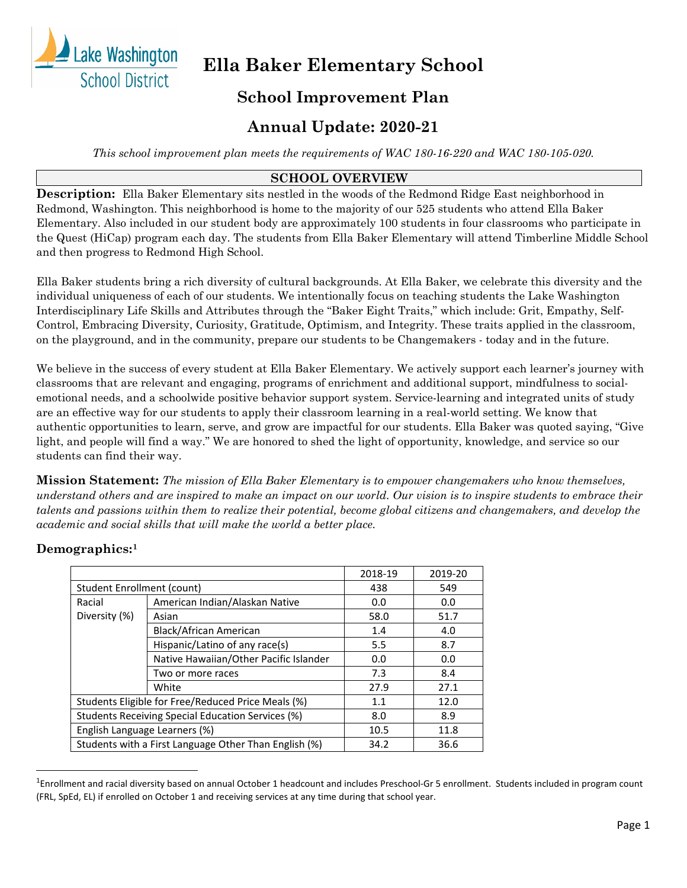

# **Ella Baker Elementary School**

# **School Improvement Plan**

# **Annual Update: 2020-21**

*This school improvement plan meets the requirements of WAC 180-16-220 and WAC 180-105-020.*

# **SCHOOL OVERVIEW**

**Description:** Ella Baker Elementary sits nestled in the woods of the Redmond Ridge East neighborhood in Redmond, Washington. This neighborhood is home to the majority of our 525 students who attend Ella Baker Elementary. Also included in our student body are approximately 100 students in four classrooms who participate in the Quest (HiCap) program each day. The students from Ella Baker Elementary will attend Timberline Middle School and then progress to Redmond High School.

Ella Baker students bring a rich diversity of cultural backgrounds. At Ella Baker, we celebrate this diversity and the individual uniqueness of each of our students. We intentionally focus on teaching students the Lake Washington Interdisciplinary Life Skills and Attributes through the "Baker Eight Traits," which include: Grit, Empathy, Self-Control, Embracing Diversity, Curiosity, Gratitude, Optimism, and Integrity. These traits applied in the classroom, on the playground, and in the community, prepare our students to be Changemakers - today and in the future.

We believe in the success of every student at Ella Baker Elementary. We actively support each learner's journey with classrooms that are relevant and engaging, programs of enrichment and additional support, mindfulness to socialemotional needs, and a schoolwide positive behavior support system. Service-learning and integrated units of study are an effective way for our students to apply their classroom learning in a real-world setting. We know that authentic opportunities to learn, serve, and grow are impactful for our students. Ella Baker was quoted saying, "Give light, and people will find a way." We are honored to shed the light of opportunity, knowledge, and service so our students can find their way.

**Mission Statement:** *The mission of Ella Baker Elementary is to empower changemakers who know themselves, understand others and are inspired to make an impact on our world. Our vision is to inspire students to embrace their talents and passions within them to realize their potential, become global citizens and changemakers, and develop the academic and social skills that will make the world a better place.*

# **Demographics:[1](#page-0-0)**

|                               |                                                       | 2018-19 | 2019-20 |
|-------------------------------|-------------------------------------------------------|---------|---------|
| Student Enrollment (count)    |                                                       | 438     | 549     |
| Racial                        | American Indian/Alaskan Native                        | 0.0     | 0.0     |
| Diversity (%)                 | Asian                                                 | 58.0    | 51.7    |
|                               | Black/African American                                | 1.4     | 4.0     |
|                               | Hispanic/Latino of any race(s)                        | 5.5     | 8.7     |
|                               | Native Hawaiian/Other Pacific Islander                | 0.0     | 0.0     |
|                               | Two or more races                                     | 7.3     | 8.4     |
|                               | White                                                 | 27.9    | 27.1    |
|                               | Students Eligible for Free/Reduced Price Meals (%)    | 1.1     | 12.0    |
|                               | Students Receiving Special Education Services (%)     | 8.0     | 8.9     |
| English Language Learners (%) |                                                       | 10.5    | 11.8    |
|                               | Students with a First Language Other Than English (%) | 34.2    | 36.6    |

<span id="page-0-0"></span> $\overline{1}$ <sup>1</sup>Enrollment and racial diversity based on annual October 1 headcount and includes Preschool-Gr 5 enrollment. Students included in program count (FRL, SpEd, EL) if enrolled on October 1 and receiving services at any time during that school year.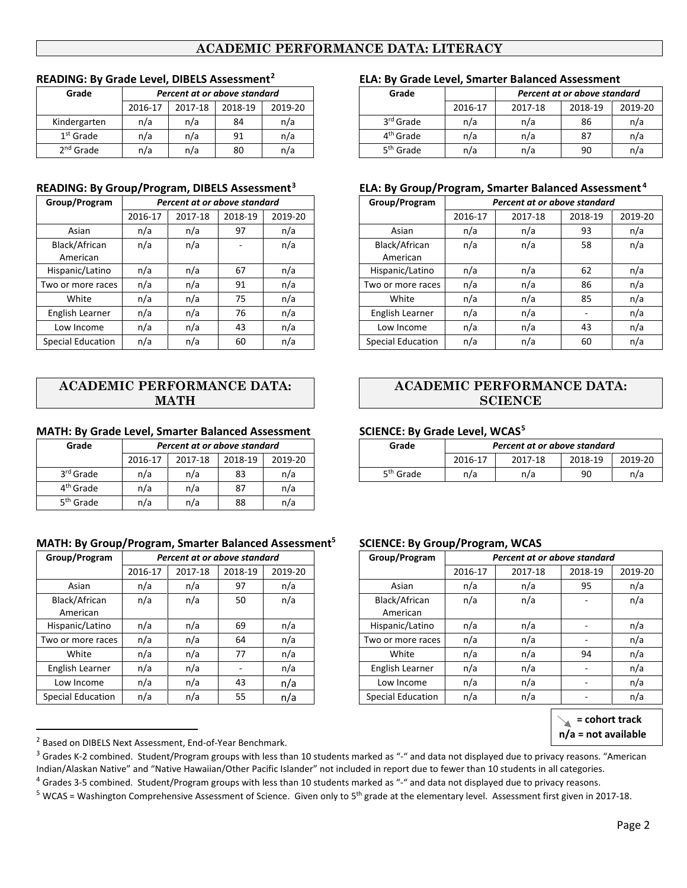# **ACADEMIC PERFORMANCE DATA: LITERACY**

|              | .       |         |                              |         |  |  |  |  |  |  |  |  |
|--------------|---------|---------|------------------------------|---------|--|--|--|--|--|--|--|--|
| Grade        |         |         | Percent at or above standard |         |  |  |  |  |  |  |  |  |
|              | 2016-17 | 2017-18 | 2018-19                      | 2019-20 |  |  |  |  |  |  |  |  |
| Kindergarten | n/a     | n/a     | 84                           | n/a     |  |  |  |  |  |  |  |  |
| $1st$ Grade  | n/a     | n/a     | 91                           | n/a     |  |  |  |  |  |  |  |  |
| $2nd$ Grade  | n/a     | n/a     | 80                           | n/a     |  |  |  |  |  |  |  |  |

| Group/Program             |         | Percent at or above standard |         |         | Group/Program             |         | Percent at or above standard |         |
|---------------------------|---------|------------------------------|---------|---------|---------------------------|---------|------------------------------|---------|
|                           | 2016-17 | 2017-18                      | 2018-19 | 2019-20 |                           | 2016-17 | 2017-18                      | 2018-19 |
| Asian                     | n/a     | n/a                          | 97      | n/a     | Asian                     | n/a     | n/a                          | 93      |
| Black/African<br>American | n/a     | n/a                          | ۰       | n/a     | Black/African<br>American | n/a     | n/a                          | 58      |
| Hispanic/Latino           | n/a     | n/a                          | 67      | n/a     | Hispanic/Latino           | n/a     | n/a                          | 62      |
| Two or more races         | n/a     | n/a                          | 91      | n/a     | Two or more races         | n/a     | n/a                          | 86      |
| White                     | n/a     | n/a                          | 75      | n/a     | White                     | n/a     | n/a                          | 85      |
| English Learner           | n/a     | n/a                          | 76      | n/a     | English Learner           | n/a     | n/a                          |         |
| Low Income                | n/a     | n/a                          | 43      | n/a     | Low Income                | n/a     | n/a                          | 43      |
| <b>Special Education</b>  | n/a     | n/a                          | 60      | n/a     | <b>Special Education</b>  | n/a     | n/a                          | 60      |

### **ACADEMIC PERFORMANCE DATA: MATH**

### **MATH: By Grade Level, Smarter Balanced Assessment SCIENCE: By Grade Level, WCAS[5](#page-1-3)**

| Grade                 |         | Percent at or above standard |         |         |
|-----------------------|---------|------------------------------|---------|---------|
|                       | 2016-17 | 2017-18                      | 2018-19 | 2019-20 |
| 3 <sup>rd</sup> Grade | n/a     | n/a                          | 83      | n/a     |
| 4 <sup>th</sup> Grade | n/a     | n/a                          | 87      | n/a     |
| 5 <sup>th</sup> Grade | n/a     | n/a                          | 88      | n/a     |

#### **MATH: By Group/Program, Smarter Balanced Assessment5 SCIENCE: By Group/Program, WCAS**

| Group/Program             |         | Percent at or above standard |         |         | Group/Program             |         | Percent at or above standard |         |
|---------------------------|---------|------------------------------|---------|---------|---------------------------|---------|------------------------------|---------|
|                           | 2016-17 | 2017-18                      | 2018-19 | 2019-20 |                           | 2016-17 | 2017-18                      | 2018-19 |
| Asian                     | n/a     | n/a                          | 97      | n/a     | Asian                     | n/a     | n/a                          | 95      |
| Black/African<br>American | n/a     | n/a                          | 50      | n/a     | Black/African<br>American | n/a     | n/a                          |         |
| Hispanic/Latino           | n/a     | n/a                          | 69      | n/a     | Hispanic/Latino           | n/a     | n/a                          |         |
| Two or more races         | n/a     | n/a                          | 64      | n/a     | Two or more races         | n/a     | n/a                          |         |
| White                     | n/a     | n/a                          | 77      | n/a     | White                     | n/a     | n/a                          | 94      |
| English Learner           | n/a     | n/a                          | -       | n/a     | English Learner           | n/a     | n/a                          |         |
| Low Income                | n/a     | n/a                          | 43      | n/a     | Low Income                | n/a     | n/a                          |         |
| <b>Special Education</b>  | n/a     | n/a                          | 55      | n/a     | <b>Special Education</b>  | n/a     | n/a                          |         |

### **READING: By Grade Level, DIBELS Assessment[2](#page-1-0) ELA: By Grade Level, Smarter Balanced Assessment**

| Grade                 |         |         | Percent at or above standard |         |  | Grade                 |         |         | Percent at or above standard |         |
|-----------------------|---------|---------|------------------------------|---------|--|-----------------------|---------|---------|------------------------------|---------|
|                       | 2016-17 | 2017-18 | 2018-19                      | 2019-20 |  |                       | 2016-17 | 2017-18 | 2018-19                      | 2019-20 |
| Kindergarten          | n/a     | n/a     | 84                           | n/a     |  | 3 <sup>rd</sup> Grade | n/a     | n/a     | 86                           | n/a     |
| $1st$ Grade           | n/a     | n/a     | 91                           | n/a     |  | 4 <sup>th</sup> Grade | n/a     | n/a     | 87                           | n/a     |
| 2 <sup>nd</sup> Grade | n/a     | n/a     | 80                           | n/a     |  | 5 <sup>th</sup> Grade | n/a     | n/a     | 90                           | n/a     |

#### **READING: By Group/Program, DIBELS Assessment[3](#page-1-1) ELA: By Group/Program, Smarter Balanced Assessment [4](#page-1-2)**

| Group/Program             |         | Percent at or above standard |         |         | Group/Program             |         | Percent at or above standard<br>2018-19<br>2017-18<br>n/a<br>93<br>n/a<br>n/a<br>58<br>n/a<br>n/a<br>62<br>n/a<br>n/a<br>86<br>n/a<br>n/a<br>85<br>n/a<br>n/a<br>n/a<br>$\overline{\phantom{a}}$<br>n/a<br>43<br>n/a |    |         |
|---------------------------|---------|------------------------------|---------|---------|---------------------------|---------|----------------------------------------------------------------------------------------------------------------------------------------------------------------------------------------------------------------------|----|---------|
|                           | 2016-17 | 2017-18                      | 2018-19 | 2019-20 |                           | 2016-17 |                                                                                                                                                                                                                      |    | 2019-20 |
| Asian                     | n/a     | n/a                          | 97      | n/a     | Asian                     | n/a     |                                                                                                                                                                                                                      |    |         |
| Black/African<br>American | n/a     | n/a                          |         | n/a     | Black/African<br>American | n/a     |                                                                                                                                                                                                                      |    |         |
| Hispanic/Latino           | n/a     | n/a                          | 67      | n/a     | Hispanic/Latino           | n/a     |                                                                                                                                                                                                                      |    |         |
| Two or more races         | n/a     | n/a                          | 91      | n/a     | Two or more races         | n/a     |                                                                                                                                                                                                                      |    |         |
| White                     | n/a     | n/a                          | 75      | n/a     | White                     | n/a     |                                                                                                                                                                                                                      |    |         |
| English Learner           | n/a     | n/a                          | 76      | n/a     | English Learner           | n/a     |                                                                                                                                                                                                                      |    |         |
| Low Income                | n/a     | n/a                          | 43      | n/a     | Low Income                | n/a     |                                                                                                                                                                                                                      |    |         |
| <b>Special Education</b>  | n/a     | n/a                          | 60      | n/a     | <b>Special Education</b>  | n/a     | n/a                                                                                                                                                                                                                  | 60 | n/a     |

### **ACADEMIC PERFORMANCE DATA: SCIENCE**

| Grade                 |         | Percent at or above standard<br>2018-19<br>2017-18<br>83<br>n/a<br>n/a<br>n/a |  |         | Grade                 |         | Percent at or above standard |         |         |
|-----------------------|---------|-------------------------------------------------------------------------------|--|---------|-----------------------|---------|------------------------------|---------|---------|
|                       | 2016-17 |                                                                               |  | 2019-20 |                       | 2016-17 | 2017-18                      | 2018-19 | 2019-20 |
| 3 <sup>rd</sup> Grade |         |                                                                               |  |         | 5 <sup>th</sup> Grade | n/a     | n/a                          | 90      | n/a     |

| Group/Program             |         | Percent at or above standard |         |         | Group/Program             |         | Percent at or above standard |                          |         |
|---------------------------|---------|------------------------------|---------|---------|---------------------------|---------|------------------------------|--------------------------|---------|
|                           | 2016-17 | 2017-18                      | 2018-19 | 2019-20 |                           | 2016-17 | 2017-18                      | 2018-19                  | 2019-20 |
| Asian                     | n/a     | n/a                          | 97      | n/a     | Asian                     | n/a     | n/a                          | 95                       | n/a     |
| Black/African<br>American | n/a     | n/a                          | 50      | n/a     | Black/African<br>American | n/a     | n/a                          |                          | n/a     |
| Hispanic/Latino           | n/a     | n/a                          | 69      | n/a     | Hispanic/Latino           | n/a     | n/a                          |                          | n/a     |
| Two or more races         | n/a     | n/a                          | 64      | n/a     | Two or more races         | n/a     | n/a                          | $\overline{\phantom{a}}$ | n/a     |
| White                     | n/a     | n/a                          | 77      | n/a     | White                     | n/a     | n/a                          | 94                       | n/a     |
| English Learner           | n/a     | n/a                          |         | n/a     | English Learner           | n/a     | n/a                          | $\overline{\phantom{a}}$ | n/a     |
| Low Income                | n/a     | n/a                          | 43      | n/a     | Low Income                | n/a     | n/a                          | $\overline{\phantom{a}}$ | n/a     |
| <b>Special Education</b>  | n/a     | n/a                          | 55      | n/a     | <b>Special Education</b>  | n/a     | n/a                          | $\overline{\phantom{a}}$ | n/a     |

 **<sup>=</sup> cohort track n/a = not available**

<span id="page-1-1"></span><span id="page-1-0"></span><sup>2</sup> Based on DIBELS Next Assessment, End-of-Year Benchmark.<br>3 Grades K-2 combined. Student/Program groups with less than 10 students marked as "-" and data not displayed due to privacy reasons. "American Indian/Alaskan Native" and "Native Hawaiian/Other Pacific Islander" not included in report due to fewer than 10 students in all categories.

<span id="page-1-2"></span><sup>&</sup>lt;sup>4</sup> Grades 3-5 combined. Student/Program groups with less than 10 students marked as "-" and data not displayed due to privacy reasons.

<span id="page-1-3"></span> $5$  WCAS = Washington Comprehensive Assessment of Science. Given only to  $5<sup>th</sup>$  grade at the elementary level. Assessment first given in 2017-18.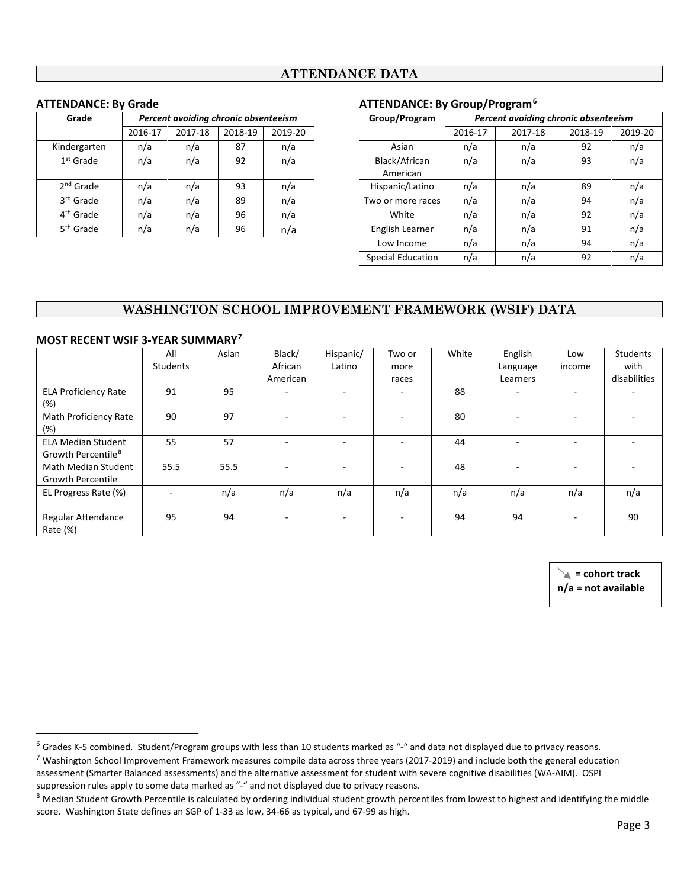### **ATTENDANCE DATA**

| Grade                 |         | Percent avoiding chronic absenteeism |         |         | Group/Progran   |
|-----------------------|---------|--------------------------------------|---------|---------|-----------------|
|                       | 2016-17 | 2017-18                              | 2018-19 | 2019-20 |                 |
| Kindergarten          | n/a     | n/a                                  | 87      | n/a     | Asian           |
| $1st$ Grade           | n/a     | n/a                                  | 92      | n/a     | Black/African   |
|                       |         |                                      |         |         | American        |
| 2 <sup>nd</sup> Grade | n/a     | n/a                                  | 93      | n/a     | Hispanic/Latino |
| 3rd Grade             | n/a     | n/a                                  | 89      | n/a     | Two or more rac |
| 4 <sup>th</sup> Grade | n/a     | n/a                                  | 96      | n/a     | White           |
| 5 <sup>th</sup> Grade | n/a     | n/a                                  | 96      | n/a     | English Learner |

#### **ATTENDANCE: By Grade ATTENDANCE: By Group/Program[6](#page-2-0)**

| Grade                 |         | Percent avoiding chronic absenteeism |         |         | Group/Program             |         | Percent avoiding chronic absenteeism |         |         |
|-----------------------|---------|--------------------------------------|---------|---------|---------------------------|---------|--------------------------------------|---------|---------|
|                       | 2016-17 | 2017-18                              | 2018-19 | 2019-20 |                           | 2016-17 | 2017-18                              | 2018-19 | 2019-20 |
| Kindergarten          | n/a     | n/a                                  | 87      | n/a     | Asian                     | n/a     | n/a                                  | 92      | n/a     |
| $1st$ Grade           | n/a     | n/a                                  | 92      | n/a     | Black/African<br>American | n/a     | n/a                                  | 93      | n/a     |
| 2 <sup>nd</sup> Grade | n/a     | n/a                                  | 93      | n/a     | Hispanic/Latino           | n/a     | n/a                                  | 89      | n/a     |
| 3 <sup>rd</sup> Grade | n/a     | n/a                                  | 89      | n/a     | Two or more races         | n/a     | n/a                                  | 94      | n/a     |
| 4 <sup>th</sup> Grade | n/a     | n/a                                  | 96      | n/a     | White                     | n/a     | n/a                                  | 92      | n/a     |
| 5 <sup>th</sup> Grade | n/a     | n/a                                  | 96      | n/a     | English Learner           | n/a     | n/a                                  | 91      | n/a     |
|                       |         |                                      |         |         | Low Income                | n/a     | n/a                                  | 94      | n/a     |
|                       |         |                                      |         |         | <b>Special Education</b>  | n/a     | n/a                                  | 92      | n/a     |

### **WASHINGTON SCHOOL IMPROVEMENT FRAMEWORK (WSIF) DATA**

|                                | All             | Asian | Black/   | Hispanic/ | Two or | White | English  | Low                      | Students     |
|--------------------------------|-----------------|-------|----------|-----------|--------|-------|----------|--------------------------|--------------|
|                                | <b>Students</b> |       | African  | Latino    | more   |       | Language | income                   | with         |
|                                |                 |       | American |           | races  |       | Learners |                          | disabilities |
| <b>ELA Proficiency Rate</b>    | 91              | 95    |          |           |        | 88    |          | $\sim$                   |              |
| (%)                            |                 |       |          |           |        |       |          |                          |              |
| Math Proficiency Rate          | 90              | 97    |          |           |        | 80    |          |                          |              |
| (%)                            |                 |       |          |           |        |       |          |                          |              |
| <b>ELA Median Student</b>      | 55              | 57    |          |           |        | 44    |          | $\overline{\phantom{0}}$ |              |
| Growth Percentile <sup>8</sup> |                 |       |          |           |        |       |          |                          |              |
| Math Median Student            | 55.5            | 55.5  |          |           |        | 48    |          |                          |              |
| <b>Growth Percentile</b>       |                 |       |          |           |        |       |          |                          |              |
| EL Progress Rate (%)           |                 | n/a   | n/a      | n/a       | n/a    | n/a   | n/a      | n/a                      | n/a          |
|                                |                 |       |          |           |        |       |          |                          |              |
| Regular Attendance             | 95              | 94    |          |           |        | 94    | 94       | $\sim$                   | 90           |
| Rate (%)                       |                 |       |          |           |        |       |          |                          |              |

#### **MOST RECENT WSIF 3-YEAR SUMMARY[7](#page-2-1)**

 **= cohort track n/a = not available**

<span id="page-2-0"></span><sup>&</sup>lt;sup>6</sup> Grades K-5 combined. Student/Program groups with less than 10 students marked as "-" and data not displayed due to privacy reasons.

<span id="page-2-1"></span> $^7$  Washington School Improvement Framework measures compile data across three years (2017-2019) and include both the general education assessment (Smarter Balanced assessments) and the alternative assessment for student with severe cognitive disabilities (WA-AIM). OSPI suppression rules apply to some data marked as "-" and not displayed due to privacy reasons.

<span id="page-2-2"></span> $8$  Median Student Growth Percentile is calculated by ordering individual student growth percentiles from lowest to highest and identifying the middle score. Washington State defines an SGP of 1-33 as low, 34-66 as typical, and 67-99 as high.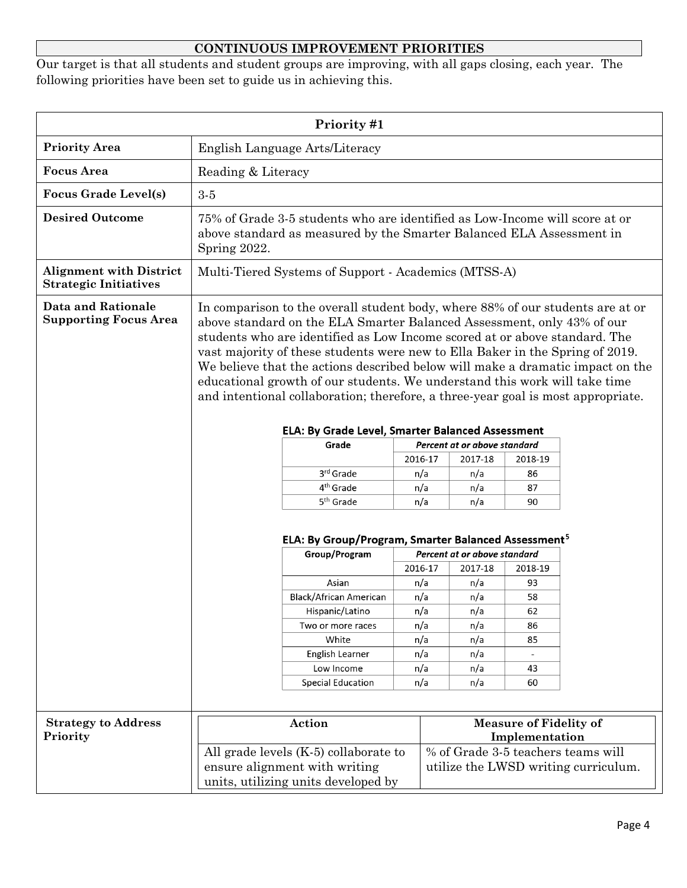# **CONTINUOUS IMPROVEMENT PRIORITIES**

Our target is that all students and student groups are improving, with all gaps closing, each year. The following priorities have been set to guide us in achieving this.

| Priority #1                                                    |                                                                                                                                                                                                                                                                                                                                                                                                                                                                                                                                                                                                                                 |                                                                                                                                                     |            |                              |                                                 |                                    |
|----------------------------------------------------------------|---------------------------------------------------------------------------------------------------------------------------------------------------------------------------------------------------------------------------------------------------------------------------------------------------------------------------------------------------------------------------------------------------------------------------------------------------------------------------------------------------------------------------------------------------------------------------------------------------------------------------------|-----------------------------------------------------------------------------------------------------------------------------------------------------|------------|------------------------------|-------------------------------------------------|------------------------------------|
| <b>Priority Area</b>                                           | English Language Arts/Literacy                                                                                                                                                                                                                                                                                                                                                                                                                                                                                                                                                                                                  |                                                                                                                                                     |            |                              |                                                 |                                    |
| <b>Focus</b> Area                                              | Reading & Literacy                                                                                                                                                                                                                                                                                                                                                                                                                                                                                                                                                                                                              |                                                                                                                                                     |            |                              |                                                 |                                    |
| <b>Focus Grade Level(s)</b>                                    | $3-5$                                                                                                                                                                                                                                                                                                                                                                                                                                                                                                                                                                                                                           |                                                                                                                                                     |            |                              |                                                 |                                    |
| <b>Desired Outcome</b>                                         | Spring 2022.                                                                                                                                                                                                                                                                                                                                                                                                                                                                                                                                                                                                                    | 75% of Grade 3-5 students who are identified as Low-Income will score at or<br>above standard as measured by the Smarter Balanced ELA Assessment in |            |                              |                                                 |                                    |
| <b>Alignment with District</b><br><b>Strategic Initiatives</b> |                                                                                                                                                                                                                                                                                                                                                                                                                                                                                                                                                                                                                                 | Multi-Tiered Systems of Support - Academics (MTSS-A)                                                                                                |            |                              |                                                 |                                    |
| <b>Data and Rationale</b><br><b>Supporting Focus Area</b>      | In comparison to the overall student body, where 88% of our students are at or<br>above standard on the ELA Smarter Balanced Assessment, only 43% of our<br>students who are identified as Low Income scored at or above standard. The<br>vast majority of these students were new to Ella Baker in the Spring of 2019.<br>We believe that the actions described below will make a dramatic impact on the<br>educational growth of our students. We understand this work will take time<br>and intentional collaboration; therefore, a three-year goal is most appropriate.<br>ELA: By Grade Level, Smarter Balanced Assessment |                                                                                                                                                     |            |                              |                                                 |                                    |
|                                                                |                                                                                                                                                                                                                                                                                                                                                                                                                                                                                                                                                                                                                                 | Grade                                                                                                                                               |            | Percent at or above standard |                                                 |                                    |
|                                                                |                                                                                                                                                                                                                                                                                                                                                                                                                                                                                                                                                                                                                                 |                                                                                                                                                     | 2016-17    | 2017-18                      | 2018-19                                         |                                    |
|                                                                |                                                                                                                                                                                                                                                                                                                                                                                                                                                                                                                                                                                                                                 | 3rd Grade                                                                                                                                           | n/a        | n/a                          | 86                                              |                                    |
|                                                                |                                                                                                                                                                                                                                                                                                                                                                                                                                                                                                                                                                                                                                 | 4 <sup>th</sup> Grade                                                                                                                               | n/a        | n/a                          | 87                                              |                                    |
|                                                                |                                                                                                                                                                                                                                                                                                                                                                                                                                                                                                                                                                                                                                 | 5 <sup>th</sup> Grade                                                                                                                               | n/a        | n/a                          | 90                                              |                                    |
|                                                                | ELA: By Group/Program, Smarter Balanced Assessment <sup>5</sup><br>Group/Program<br>Percent at or above standard                                                                                                                                                                                                                                                                                                                                                                                                                                                                                                                |                                                                                                                                                     |            |                              |                                                 |                                    |
|                                                                |                                                                                                                                                                                                                                                                                                                                                                                                                                                                                                                                                                                                                                 |                                                                                                                                                     | 2016-17    | 2017-18                      | 2018-19                                         |                                    |
|                                                                |                                                                                                                                                                                                                                                                                                                                                                                                                                                                                                                                                                                                                                 | Asian                                                                                                                                               | n/a        | n/a                          | 93                                              |                                    |
|                                                                |                                                                                                                                                                                                                                                                                                                                                                                                                                                                                                                                                                                                                                 | <b>Black/African American</b>                                                                                                                       | n/a        | n/a                          | 58                                              |                                    |
|                                                                |                                                                                                                                                                                                                                                                                                                                                                                                                                                                                                                                                                                                                                 | Hispanic/Latino                                                                                                                                     | n/a        | n/a                          | 62                                              |                                    |
|                                                                |                                                                                                                                                                                                                                                                                                                                                                                                                                                                                                                                                                                                                                 | Two or more races<br>White                                                                                                                          | n/a<br>n/a | n/a<br>n/a                   | 86<br>85                                        |                                    |
|                                                                |                                                                                                                                                                                                                                                                                                                                                                                                                                                                                                                                                                                                                                 | English Learner                                                                                                                                     | n/a        | n/a                          | $\mathcal{L}$                                   |                                    |
|                                                                |                                                                                                                                                                                                                                                                                                                                                                                                                                                                                                                                                                                                                                 | Low Income                                                                                                                                          | n/a        | n/a                          | 43                                              |                                    |
|                                                                |                                                                                                                                                                                                                                                                                                                                                                                                                                                                                                                                                                                                                                 | <b>Special Education</b>                                                                                                                            | n/a        | n/a                          | 60                                              |                                    |
|                                                                |                                                                                                                                                                                                                                                                                                                                                                                                                                                                                                                                                                                                                                 |                                                                                                                                                     |            |                              |                                                 |                                    |
| <b>Strategy to Address</b><br>Priority                         |                                                                                                                                                                                                                                                                                                                                                                                                                                                                                                                                                                                                                                 | Action<br>All grade levels (K-5) collaborate to                                                                                                     |            |                              | <b>Measure of Fidelity of</b><br>Implementation | % of Grade 3-5 teachers teams will |
|                                                                | ensure alignment with writing<br>utilize the LWSD writing curriculum.<br>units, utilizing units developed by                                                                                                                                                                                                                                                                                                                                                                                                                                                                                                                    |                                                                                                                                                     |            |                              |                                                 |                                    |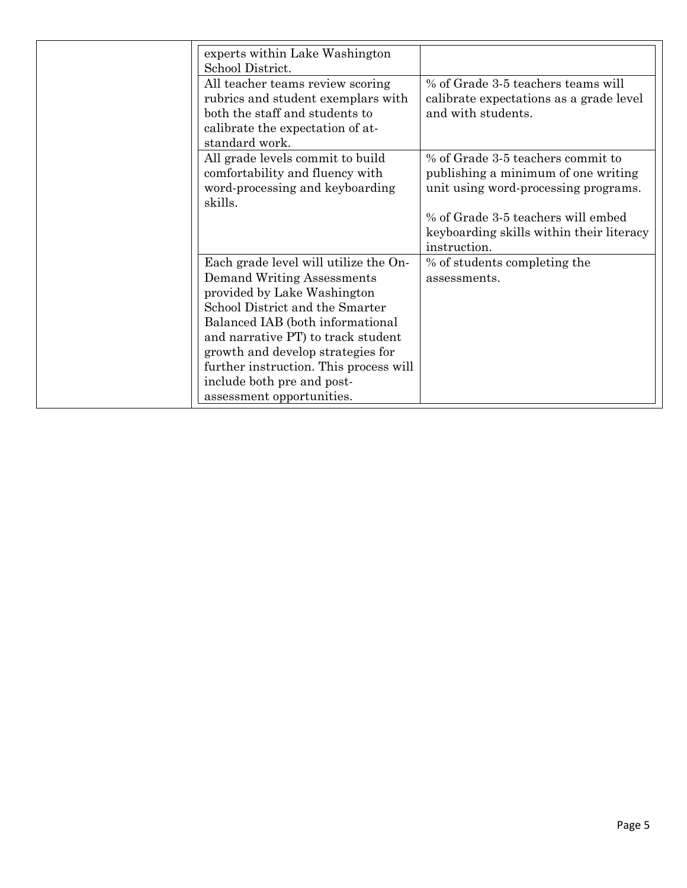| experts within Lake Washington<br>School District.                                                                                                                                                                                                                                                                                                               |                                                                                                                                                                                                                    |
|------------------------------------------------------------------------------------------------------------------------------------------------------------------------------------------------------------------------------------------------------------------------------------------------------------------------------------------------------------------|--------------------------------------------------------------------------------------------------------------------------------------------------------------------------------------------------------------------|
| All teacher teams review scoring<br>rubrics and student exemplars with<br>both the staff and students to<br>calibrate the expectation of at-<br>standard work.                                                                                                                                                                                                   | % of Grade 3-5 teachers teams will<br>calibrate expectations as a grade level<br>and with students.                                                                                                                |
| All grade levels commit to build<br>comfortability and fluency with<br>word-processing and keyboarding<br>skills.                                                                                                                                                                                                                                                | % of Grade 3-5 teachers commit to<br>publishing a minimum of one writing<br>unit using word-processing programs.<br>% of Grade 3-5 teachers will embed<br>keyboarding skills within their literacy<br>instruction. |
| Each grade level will utilize the On-<br><b>Demand Writing Assessments</b><br>provided by Lake Washington<br>School District and the Smarter<br>Balanced IAB (both informational<br>and narrative PT) to track student<br>growth and develop strategies for<br>further instruction. This process will<br>include both pre and post-<br>assessment opportunities. | % of students completing the<br>assessments.                                                                                                                                                                       |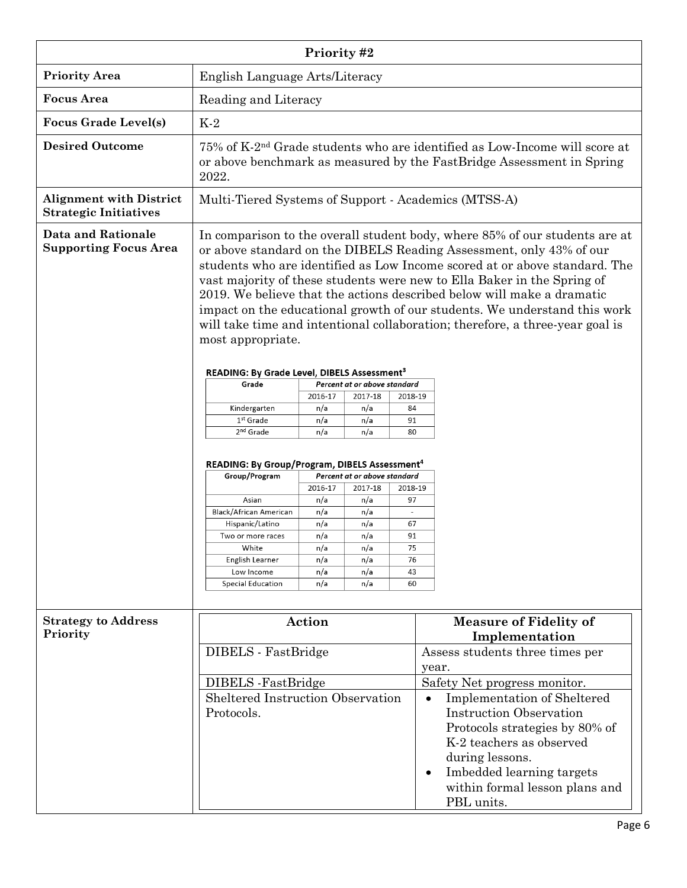| Priority #2                                                    |                                                                                                                                                                                                                                                                                                                                                                                                                                                                                                                                                                          |            |                              |                                |                                                 |
|----------------------------------------------------------------|--------------------------------------------------------------------------------------------------------------------------------------------------------------------------------------------------------------------------------------------------------------------------------------------------------------------------------------------------------------------------------------------------------------------------------------------------------------------------------------------------------------------------------------------------------------------------|------------|------------------------------|--------------------------------|-------------------------------------------------|
| <b>Priority Area</b>                                           | English Language Arts/Literacy                                                                                                                                                                                                                                                                                                                                                                                                                                                                                                                                           |            |                              |                                |                                                 |
| <b>Focus Area</b>                                              | Reading and Literacy                                                                                                                                                                                                                                                                                                                                                                                                                                                                                                                                                     |            |                              |                                |                                                 |
| <b>Focus Grade Level(s)</b>                                    | $K-2$                                                                                                                                                                                                                                                                                                                                                                                                                                                                                                                                                                    |            |                              |                                |                                                 |
| <b>Desired Outcome</b>                                         | 75% of K-2 <sup>nd</sup> Grade students who are identified as Low-Income will score at<br>or above benchmark as measured by the FastBridge Assessment in Spring<br>2022.                                                                                                                                                                                                                                                                                                                                                                                                 |            |                              |                                |                                                 |
| <b>Alignment with District</b><br><b>Strategic Initiatives</b> | Multi-Tiered Systems of Support - Academics (MTSS-A)                                                                                                                                                                                                                                                                                                                                                                                                                                                                                                                     |            |                              |                                |                                                 |
| <b>Data and Rationale</b><br><b>Supporting Focus Area</b>      | In comparison to the overall student body, where 85% of our students are at<br>or above standard on the DIBELS Reading Assessment, only 43% of our<br>students who are identified as Low Income scored at or above standard. The<br>vast majority of these students were new to Ella Baker in the Spring of<br>2019. We believe that the actions described below will make a dramatic<br>impact on the educational growth of our students. We understand this work<br>will take time and intentional collaboration; therefore, a three-year goal is<br>most appropriate. |            |                              |                                |                                                 |
|                                                                | READING: By Grade Level, DIBELS Assessment <sup>3</sup>                                                                                                                                                                                                                                                                                                                                                                                                                                                                                                                  |            | Percent at or above standard |                                |                                                 |
|                                                                | Grade                                                                                                                                                                                                                                                                                                                                                                                                                                                                                                                                                                    | 2016-17    | 2017-18                      | 2018-19                        |                                                 |
|                                                                | Kindergarten                                                                                                                                                                                                                                                                                                                                                                                                                                                                                                                                                             | n/a        | n/a                          | 84                             |                                                 |
|                                                                | $1st$ Grade                                                                                                                                                                                                                                                                                                                                                                                                                                                                                                                                                              | n/a        | n/a                          | 91                             |                                                 |
|                                                                | 2 <sup>nd</sup> Grade<br>n/a<br>n/a<br>80                                                                                                                                                                                                                                                                                                                                                                                                                                                                                                                                |            |                              |                                |                                                 |
|                                                                | <b>READING: By Group/Program, DIBELS Assessment<sup>4</sup></b>                                                                                                                                                                                                                                                                                                                                                                                                                                                                                                          |            |                              |                                |                                                 |
|                                                                | Group/Program                                                                                                                                                                                                                                                                                                                                                                                                                                                                                                                                                            |            | Percent at or above standard |                                |                                                 |
|                                                                |                                                                                                                                                                                                                                                                                                                                                                                                                                                                                                                                                                          | 2016-17    | 2017-18                      | 2018-19                        |                                                 |
|                                                                | Asian<br>Black/African American                                                                                                                                                                                                                                                                                                                                                                                                                                                                                                                                          | n/a<br>n/a | n/a<br>n/a                   | 97<br>$\overline{\phantom{a}}$ |                                                 |
|                                                                | Hispanic/Latino                                                                                                                                                                                                                                                                                                                                                                                                                                                                                                                                                          | n/a        | n/a                          | 67                             |                                                 |
|                                                                | Two or more races                                                                                                                                                                                                                                                                                                                                                                                                                                                                                                                                                        | n/a        | n/a                          | 91                             |                                                 |
|                                                                | White                                                                                                                                                                                                                                                                                                                                                                                                                                                                                                                                                                    | n/a        | n/a                          | 75                             |                                                 |
|                                                                | English Learner                                                                                                                                                                                                                                                                                                                                                                                                                                                                                                                                                          | n/a        | n/a                          | 76                             |                                                 |
|                                                                | Low Income<br>Special Education                                                                                                                                                                                                                                                                                                                                                                                                                                                                                                                                          | n/a<br>n/a | n/a<br>n/a                   | 43<br>60                       |                                                 |
|                                                                |                                                                                                                                                                                                                                                                                                                                                                                                                                                                                                                                                                          |            |                              |                                |                                                 |
| <b>Strategy to Address</b>                                     |                                                                                                                                                                                                                                                                                                                                                                                                                                                                                                                                                                          | Action     |                              |                                | <b>Measure of Fidelity of</b>                   |
| Priority                                                       |                                                                                                                                                                                                                                                                                                                                                                                                                                                                                                                                                                          |            |                              |                                | Implementation                                  |
|                                                                | DIBELS - FastBridge                                                                                                                                                                                                                                                                                                                                                                                                                                                                                                                                                      |            |                              |                                | Assess students three times per                 |
|                                                                |                                                                                                                                                                                                                                                                                                                                                                                                                                                                                                                                                                          |            |                              |                                | year.                                           |
|                                                                | DIBELS -FastBridge                                                                                                                                                                                                                                                                                                                                                                                                                                                                                                                                                       |            |                              |                                | Safety Net progress monitor.                    |
|                                                                | <b>Sheltered Instruction Observation</b>                                                                                                                                                                                                                                                                                                                                                                                                                                                                                                                                 |            |                              |                                | <b>Implementation of Sheltered</b><br>$\bullet$ |
|                                                                | Protocols.                                                                                                                                                                                                                                                                                                                                                                                                                                                                                                                                                               |            |                              |                                | <b>Instruction Observation</b>                  |
|                                                                |                                                                                                                                                                                                                                                                                                                                                                                                                                                                                                                                                                          |            |                              |                                | Protocols strategies by 80% of                  |
|                                                                |                                                                                                                                                                                                                                                                                                                                                                                                                                                                                                                                                                          |            |                              |                                | K-2 teachers as observed                        |
|                                                                |                                                                                                                                                                                                                                                                                                                                                                                                                                                                                                                                                                          |            |                              |                                | during lessons.                                 |
|                                                                |                                                                                                                                                                                                                                                                                                                                                                                                                                                                                                                                                                          |            |                              |                                | Imbedded learning targets<br>$\bullet$          |
|                                                                |                                                                                                                                                                                                                                                                                                                                                                                                                                                                                                                                                                          |            |                              |                                | within formal lesson plans and                  |
|                                                                |                                                                                                                                                                                                                                                                                                                                                                                                                                                                                                                                                                          |            |                              |                                | PBL units.                                      |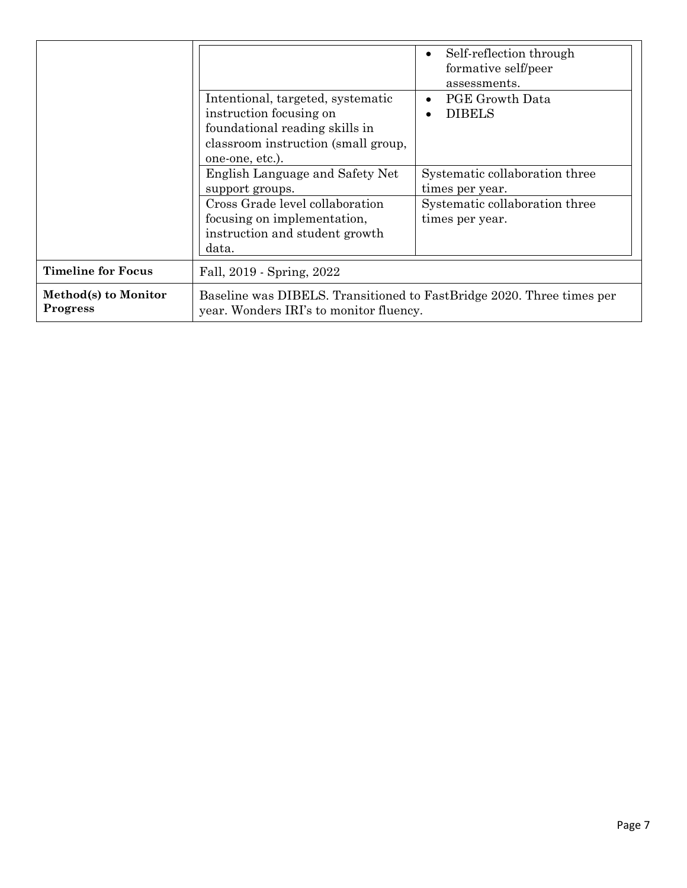|                                         | Intentional, targeted, systematic<br>instruction focusing on<br>foundational reading skills in<br>classroom instruction (small group,<br>one-one, etc.).<br>English Language and Safety Net<br>support groups.<br>Cross Grade level collaboration<br>focusing on implementation,<br>instruction and student growth<br>data. | Self-reflection through<br>$\bullet$<br>formative self/peer<br>assessments.<br><b>PGE Growth Data</b><br>$\bullet$<br><b>DIBELS</b><br>$\bullet$<br>Systematic collaboration three<br>times per year.<br>Systematic collaboration three<br>times per year. |  |
|-----------------------------------------|-----------------------------------------------------------------------------------------------------------------------------------------------------------------------------------------------------------------------------------------------------------------------------------------------------------------------------|------------------------------------------------------------------------------------------------------------------------------------------------------------------------------------------------------------------------------------------------------------|--|
|                                         |                                                                                                                                                                                                                                                                                                                             |                                                                                                                                                                                                                                                            |  |
| <b>Timeline for Focus</b>               | Fall, 2019 - Spring, 2022                                                                                                                                                                                                                                                                                                   |                                                                                                                                                                                                                                                            |  |
| Method(s) to Monitor<br><b>Progress</b> | Baseline was DIBELS. Transitioned to FastBridge 2020. Three times per<br>year. Wonders IRI's to monitor fluency.                                                                                                                                                                                                            |                                                                                                                                                                                                                                                            |  |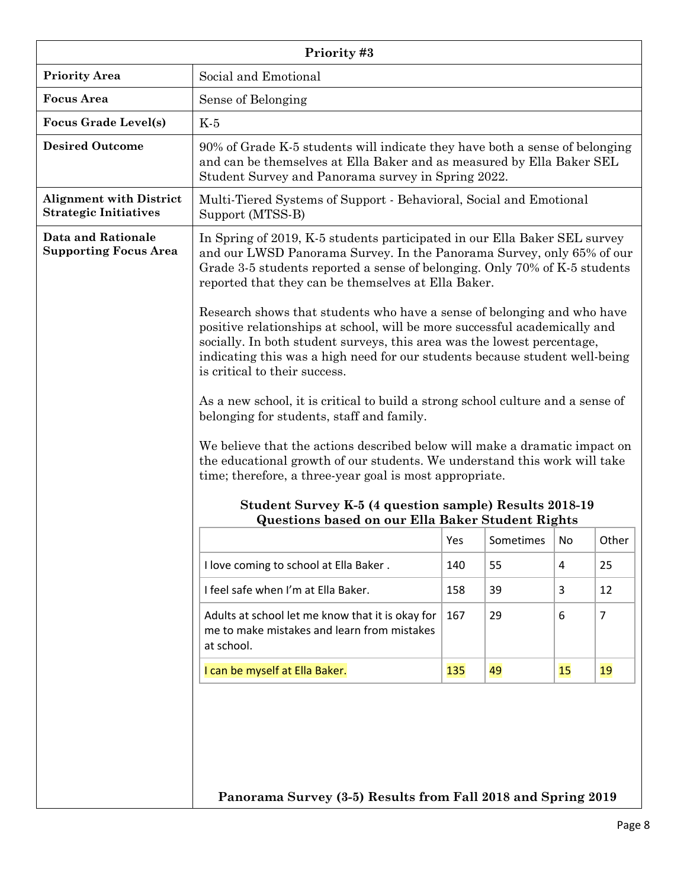| Priority #3                                                    |                                                                                                                                                                                                                                                                                                                                                                                                                                                                                                                                                                                                                                                                                                                                                                                                                                                                                                                                                                                                                                                             |     |    |   |    |
|----------------------------------------------------------------|-------------------------------------------------------------------------------------------------------------------------------------------------------------------------------------------------------------------------------------------------------------------------------------------------------------------------------------------------------------------------------------------------------------------------------------------------------------------------------------------------------------------------------------------------------------------------------------------------------------------------------------------------------------------------------------------------------------------------------------------------------------------------------------------------------------------------------------------------------------------------------------------------------------------------------------------------------------------------------------------------------------------------------------------------------------|-----|----|---|----|
| <b>Priority Area</b>                                           | Social and Emotional                                                                                                                                                                                                                                                                                                                                                                                                                                                                                                                                                                                                                                                                                                                                                                                                                                                                                                                                                                                                                                        |     |    |   |    |
| <b>Focus Area</b>                                              | Sense of Belonging                                                                                                                                                                                                                                                                                                                                                                                                                                                                                                                                                                                                                                                                                                                                                                                                                                                                                                                                                                                                                                          |     |    |   |    |
| <b>Focus Grade Level(s)</b>                                    | $K-5$                                                                                                                                                                                                                                                                                                                                                                                                                                                                                                                                                                                                                                                                                                                                                                                                                                                                                                                                                                                                                                                       |     |    |   |    |
| <b>Desired Outcome</b>                                         | 90% of Grade K-5 students will indicate they have both a sense of belonging<br>and can be themselves at Ella Baker and as measured by Ella Baker SEL<br>Student Survey and Panorama survey in Spring 2022.                                                                                                                                                                                                                                                                                                                                                                                                                                                                                                                                                                                                                                                                                                                                                                                                                                                  |     |    |   |    |
| <b>Alignment with District</b><br><b>Strategic Initiatives</b> | Multi-Tiered Systems of Support - Behavioral, Social and Emotional<br>Support (MTSS-B)                                                                                                                                                                                                                                                                                                                                                                                                                                                                                                                                                                                                                                                                                                                                                                                                                                                                                                                                                                      |     |    |   |    |
| <b>Data and Rationale</b><br><b>Supporting Focus Area</b>      | In Spring of 2019, K-5 students participated in our Ella Baker SEL survey<br>and our LWSD Panorama Survey. In the Panorama Survey, only 65% of our<br>Grade 3-5 students reported a sense of belonging. Only 70% of K-5 students<br>reported that they can be themselves at Ella Baker.<br>Research shows that students who have a sense of belonging and who have<br>positive relationships at school, will be more successful academically and<br>socially. In both student surveys, this area was the lowest percentage,<br>indicating this was a high need for our students because student well-being<br>is critical to their success.<br>As a new school, it is critical to build a strong school culture and a sense of<br>belonging for students, staff and family.<br>We believe that the actions described below will make a dramatic impact on<br>the educational growth of our students. We understand this work will take<br>time; therefore, a three-year goal is most appropriate.<br>Student Survey K-5 (4 question sample) Results 2018-19 |     |    |   |    |
|                                                                | <b>Questions based on our Ella Baker Student Rights</b><br>Yes<br>Sometimes   No<br>Other                                                                                                                                                                                                                                                                                                                                                                                                                                                                                                                                                                                                                                                                                                                                                                                                                                                                                                                                                                   |     |    |   |    |
|                                                                | I love coming to school at Ella Baker.                                                                                                                                                                                                                                                                                                                                                                                                                                                                                                                                                                                                                                                                                                                                                                                                                                                                                                                                                                                                                      | 140 | 55 | 4 | 25 |
|                                                                | I feel safe when I'm at Ella Baker.<br>3<br>39<br>158<br>12                                                                                                                                                                                                                                                                                                                                                                                                                                                                                                                                                                                                                                                                                                                                                                                                                                                                                                                                                                                                 |     |    |   |    |
|                                                                | Adults at school let me know that it is okay for<br>29<br>6<br>$\overline{7}$<br>167<br>me to make mistakes and learn from mistakes<br>at school.                                                                                                                                                                                                                                                                                                                                                                                                                                                                                                                                                                                                                                                                                                                                                                                                                                                                                                           |     |    |   |    |
|                                                                | 49<br>19<br>I can be myself at Ella Baker.<br>135<br>15                                                                                                                                                                                                                                                                                                                                                                                                                                                                                                                                                                                                                                                                                                                                                                                                                                                                                                                                                                                                     |     |    |   |    |
|                                                                | Panorama Survey (3-5) Results from Fall 2018 and Spring 2019                                                                                                                                                                                                                                                                                                                                                                                                                                                                                                                                                                                                                                                                                                                                                                                                                                                                                                                                                                                                |     |    |   |    |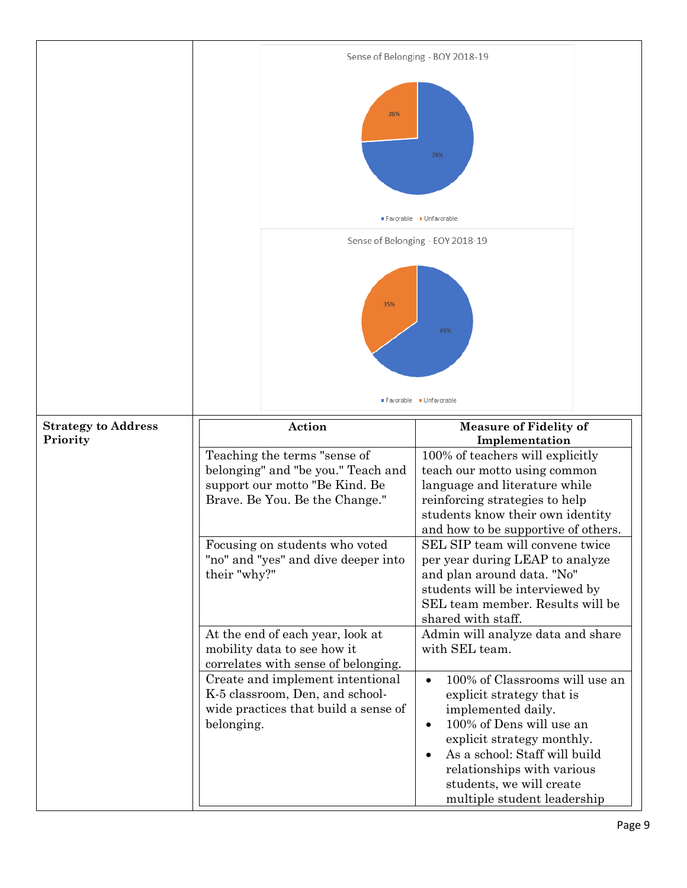|                            | Sense of Belonging - BOY 2018-19                                                                                                       |                                                                                                                                                                                                                                                                                                                                                                                                                 |  |  |
|----------------------------|----------------------------------------------------------------------------------------------------------------------------------------|-----------------------------------------------------------------------------------------------------------------------------------------------------------------------------------------------------------------------------------------------------------------------------------------------------------------------------------------------------------------------------------------------------------------|--|--|
|                            | 26%                                                                                                                                    | 74%                                                                                                                                                                                                                                                                                                                                                                                                             |  |  |
|                            |                                                                                                                                        | Favorable Unfavorable                                                                                                                                                                                                                                                                                                                                                                                           |  |  |
|                            |                                                                                                                                        | Sense of Belonging - EOY 2018-19                                                                                                                                                                                                                                                                                                                                                                                |  |  |
|                            | 35%                                                                                                                                    | 65%                                                                                                                                                                                                                                                                                                                                                                                                             |  |  |
|                            |                                                                                                                                        | Favorable Unfavorable                                                                                                                                                                                                                                                                                                                                                                                           |  |  |
| <b>Strategy to Address</b> | Action                                                                                                                                 | <b>Measure of Fidelity of</b><br>Implementation                                                                                                                                                                                                                                                                                                                                                                 |  |  |
| Priority                   | Teaching the terms "sense of<br>belonging" and "be you." Teach and<br>support our motto "Be Kind. Be<br>Brave. Be You. Be the Change." | 100% of teachers will explicitly<br>teach our motto using common<br>language and literature while<br>reinforcing strategies to help<br>students know their own identity<br>and how to be supportive of others.<br>SEL SIP team will convene twice<br>per year during LEAP to analyze<br>and plan around data. "No"<br>students will be interviewed by<br>SEL team member. Results will be<br>shared with staff. |  |  |
|                            | Focusing on students who voted<br>"no" and "yes" and dive deeper into<br>their "why?"                                                  |                                                                                                                                                                                                                                                                                                                                                                                                                 |  |  |
|                            | At the end of each year, look at<br>mobility data to see how it<br>correlates with sense of belonging.                                 | Admin will analyze data and share<br>with SEL team.                                                                                                                                                                                                                                                                                                                                                             |  |  |
|                            | Create and implement intentional<br>K-5 classroom, Den, and school-<br>wide practices that build a sense of<br>belonging.              | 100% of Classrooms will use an<br>$\bullet$<br>explicit strategy that is<br>implemented daily.<br>100% of Dens will use an<br>$\bullet$<br>explicit strategy monthly.<br>As a school: Staff will build<br>$\bullet$<br>relationships with various<br>students, we will create<br>multiple student leadership                                                                                                    |  |  |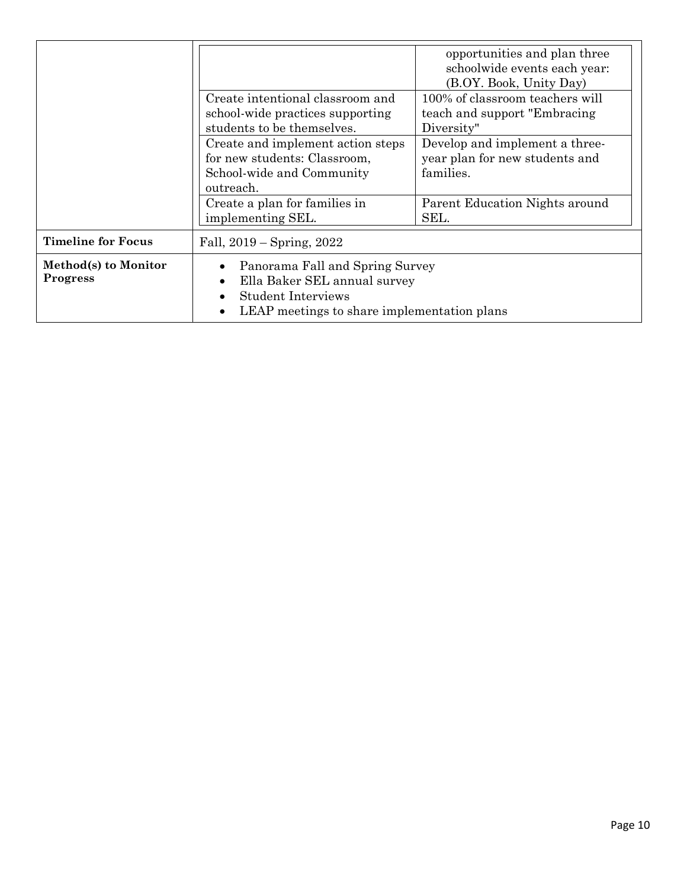|                                         | Create intentional classroom and<br>school-wide practices supporting<br>students to be themselves.<br>Create and implement action steps<br>for new students: Classroom,<br>School-wide and Community<br>outreach. | opportunities and plan three<br>schoolwide events each year:<br>(B.OY. Book, Unity Day)<br>100% of classroom teachers will<br>teach and support "Embracing"<br>Diversity"<br>Develop and implement a three-<br>year plan for new students and<br>families. |  |
|-----------------------------------------|-------------------------------------------------------------------------------------------------------------------------------------------------------------------------------------------------------------------|------------------------------------------------------------------------------------------------------------------------------------------------------------------------------------------------------------------------------------------------------------|--|
|                                         | Create a plan for families in<br>implementing SEL.                                                                                                                                                                | Parent Education Nights around<br>SEL.                                                                                                                                                                                                                     |  |
| <b>Timeline for Focus</b>               | Fall, $2019 -$ Spring, $2022$                                                                                                                                                                                     |                                                                                                                                                                                                                                                            |  |
| Method(s) to Monitor<br><b>Progress</b> | Panorama Fall and Spring Survey<br>Ella Baker SEL annual survey<br>$\bullet$<br><b>Student Interviews</b><br>LEAP meetings to share implementation plans                                                          |                                                                                                                                                                                                                                                            |  |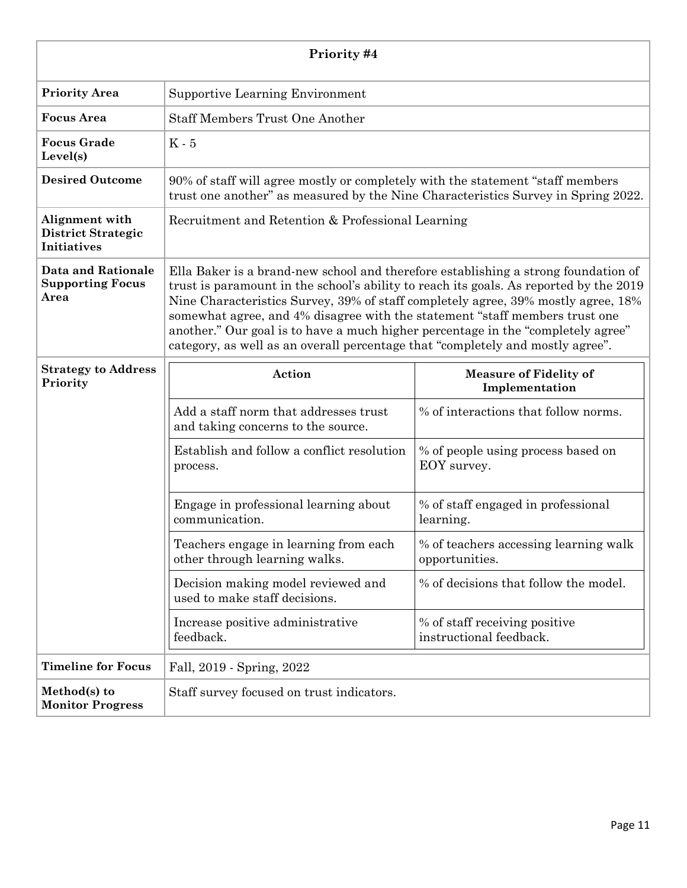| Priority #4                                                       |                                                                                                                                                                                                                                                                                                                                                                                                                                                                                                                        |                                                          |  |  |
|-------------------------------------------------------------------|------------------------------------------------------------------------------------------------------------------------------------------------------------------------------------------------------------------------------------------------------------------------------------------------------------------------------------------------------------------------------------------------------------------------------------------------------------------------------------------------------------------------|----------------------------------------------------------|--|--|
| <b>Priority Area</b>                                              | <b>Supportive Learning Environment</b>                                                                                                                                                                                                                                                                                                                                                                                                                                                                                 |                                                          |  |  |
| <b>Focus</b> Area                                                 | <b>Staff Members Trust One Another</b>                                                                                                                                                                                                                                                                                                                                                                                                                                                                                 |                                                          |  |  |
| <b>Focus Grade</b><br>Level(s)                                    | $K - 5$                                                                                                                                                                                                                                                                                                                                                                                                                                                                                                                |                                                          |  |  |
| <b>Desired Outcome</b>                                            | 90% of staff will agree mostly or completely with the statement "staff members"<br>trust one another" as measured by the Nine Characteristics Survey in Spring 2022.                                                                                                                                                                                                                                                                                                                                                   |                                                          |  |  |
| Alignment with<br><b>District Strategic</b><br><b>Initiatives</b> | Recruitment and Retention & Professional Learning                                                                                                                                                                                                                                                                                                                                                                                                                                                                      |                                                          |  |  |
| <b>Data and Rationale</b><br><b>Supporting Focus</b><br>Area      | Ella Baker is a brand-new school and therefore establishing a strong foundation of<br>trust is paramount in the school's ability to reach its goals. As reported by the 2019<br>Nine Characteristics Survey, 39% of staff completely agree, 39% mostly agree, 18%<br>somewhat agree, and 4% disagree with the statement "staff members trust one<br>another." Our goal is to have a much higher percentage in the "completely agree"<br>category, as well as an overall percentage that "completely and mostly agree". |                                                          |  |  |
| <b>Strategy to Address</b><br>Priority                            | Action                                                                                                                                                                                                                                                                                                                                                                                                                                                                                                                 | <b>Measure of Fidelity of</b><br>Implementation          |  |  |
|                                                                   | Add a staff norm that addresses trust<br>and taking concerns to the source.                                                                                                                                                                                                                                                                                                                                                                                                                                            | % of interactions that follow norms.                     |  |  |
|                                                                   | Establish and follow a conflict resolution<br>process.                                                                                                                                                                                                                                                                                                                                                                                                                                                                 | % of people using process based on<br>EOY survey.        |  |  |
|                                                                   | Engage in professional learning about<br>communication.                                                                                                                                                                                                                                                                                                                                                                                                                                                                | % of staff engaged in professional<br>learning.          |  |  |
|                                                                   | Teachers engage in learning from each<br>other through learning walks.                                                                                                                                                                                                                                                                                                                                                                                                                                                 | % of teachers accessing learning walk<br>opportunities.  |  |  |
|                                                                   | Decision making model reviewed and<br>used to make staff decisions.                                                                                                                                                                                                                                                                                                                                                                                                                                                    | % of decisions that follow the model.                    |  |  |
|                                                                   | Increase positive administrative<br>feedback.                                                                                                                                                                                                                                                                                                                                                                                                                                                                          | % of staff receiving positive<br>instructional feedback. |  |  |
| <b>Timeline for Focus</b>                                         | Fall, 2019 - Spring, 2022                                                                                                                                                                                                                                                                                                                                                                                                                                                                                              |                                                          |  |  |
| Method(s) to<br><b>Monitor Progress</b>                           | Staff survey focused on trust indicators.                                                                                                                                                                                                                                                                                                                                                                                                                                                                              |                                                          |  |  |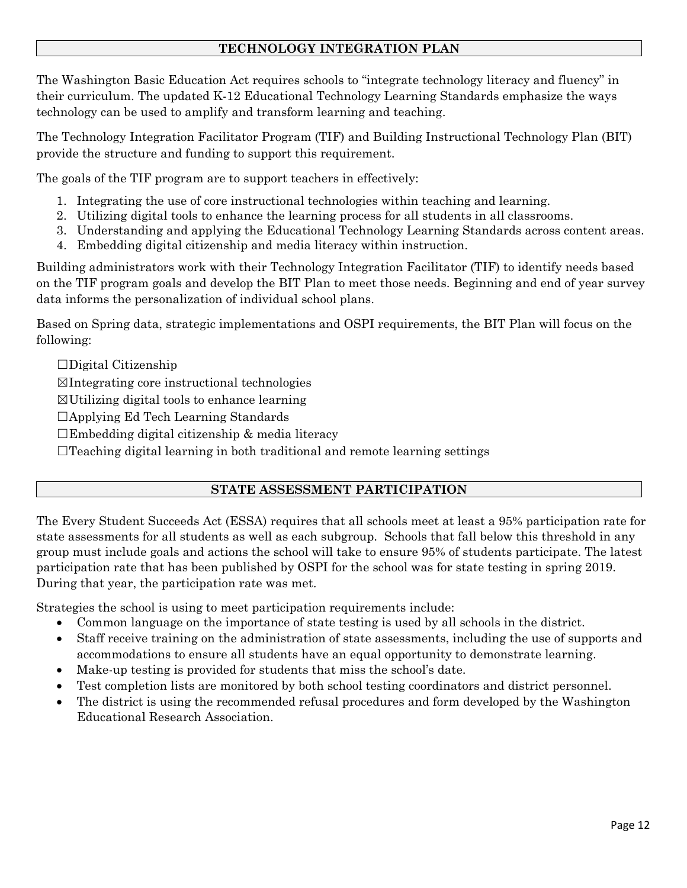# **TECHNOLOGY INTEGRATION PLAN**

The Washington Basic Education Act requires schools to "integrate technology literacy and fluency" in their curriculum. The updated K-12 Educational Technology Learning Standards emphasize the ways technology can be used to amplify and transform learning and teaching.

The Technology Integration Facilitator Program (TIF) and Building Instructional Technology Plan (BIT) provide the structure and funding to support this requirement.

The goals of the TIF program are to support teachers in effectively:

- 1. Integrating the use of core instructional technologies within teaching and learning.
- 2. Utilizing digital tools to enhance the learning process for all students in all classrooms.
- 3. Understanding and applying the Educational Technology Learning Standards across content areas.
- 4. Embedding digital citizenship and media literacy within instruction.

Building administrators work with their Technology Integration Facilitator (TIF) to identify needs based on the TIF program goals and develop the BIT Plan to meet those needs. Beginning and end of year survey data informs the personalization of individual school plans.

Based on Spring data, strategic implementations and OSPI requirements, the BIT Plan will focus on the following:

 $\square$ Digital Citizenship

☒Integrating core instructional technologies

 $\boxtimes$ Utilizing digital tools to enhance learning

☐Applying Ed Tech Learning Standards

 $\square$ Embedding digital citizenship & media literacy

 $\Box$ Teaching digital learning in both traditional and remote learning settings

# **STATE ASSESSMENT PARTICIPATION**

The Every Student Succeeds Act (ESSA) requires that all schools meet at least a 95% participation rate for state assessments for all students as well as each subgroup. Schools that fall below this threshold in any group must include goals and actions the school will take to ensure 95% of students participate. The latest participation rate that has been published by OSPI for the school was for state testing in spring 2019. During that year, the participation rate was met.

Strategies the school is using to meet participation requirements include:

- Common language on the importance of state testing is used by all schools in the district.
- Staff receive training on the administration of state assessments, including the use of supports and accommodations to ensure all students have an equal opportunity to demonstrate learning.
- Make-up testing is provided for students that miss the school's date.
- Test completion lists are monitored by both school testing coordinators and district personnel.
- The district is using the recommended refusal procedures and form developed by the Washington Educational Research Association.